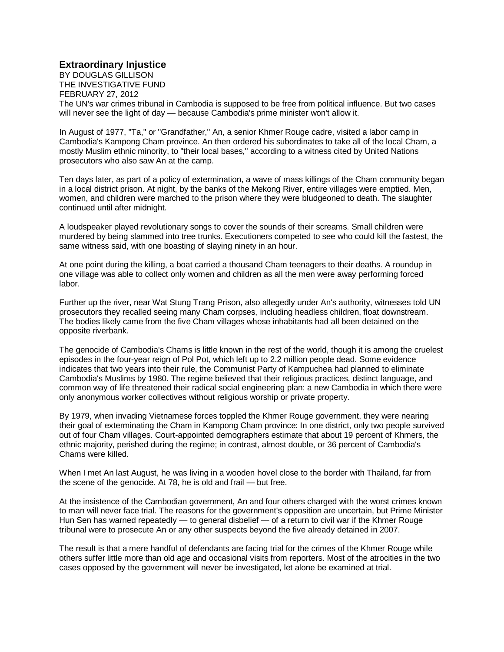## **Extraordinary Injustice**

BY DOUGLAS GILLISON THE INVESTIGATIVE FUND FEBRUARY 27, 2012

The UN's war crimes tribunal in Cambodia is supposed to be free from political influence. But two cases will never see the light of day — because Cambodia's prime minister won't allow it.

In August of 1977, "Ta," or "Grandfather," An, a senior Khmer Rouge cadre, visited a labor camp in Cambodia's Kampong Cham province. An then ordered his subordinates to take all of the local Cham, a mostly Muslim ethnic minority, to "their local bases," according to a witness cited by United Nations prosecutors who also saw An at the camp.

Ten days later, as part of a policy of extermination, a wave of mass killings of the Cham community began in a local district prison. At night, by the banks of the Mekong River, entire villages were emptied. Men, women, and children were marched to the prison where they were bludgeoned to death. The slaughter continued until after midnight.

A loudspeaker played revolutionary songs to cover the sounds of their screams. Small children were murdered by being slammed into tree trunks. Executioners competed to see who could kill the fastest, the same witness said, with one boasting of slaying ninety in an hour.

At one point during the killing, a boat carried a thousand Cham teenagers to their deaths. A roundup in one village was able to collect only women and children as all the men were away performing forced labor.

Further up the river, near Wat Stung Trang Prison, also allegedly under An's authority, witnesses told UN prosecutors they recalled seeing many Cham corpses, including headless children, float downstream. The bodies likely came from the five Cham villages whose inhabitants had all been detained on the opposite riverbank.

The genocide of Cambodia's Chams is little known in the rest of the world, though it is among the cruelest episodes in the four-year reign of Pol Pot, which left up to 2.2 million people dead. Some evidence indicates that two years into their rule, the Communist Party of Kampuchea had planned to eliminate Cambodia's Muslims by 1980. The regime believed that their religious practices, distinct language, and common way of life threatened their radical social engineering plan: a new Cambodia in which there were only anonymous worker collectives without religious worship or private property.

By 1979, when invading Vietnamese forces toppled the Khmer Rouge government, they were nearing their goal of exterminating the Cham in Kampong Cham province: In one district, only two people survived out of four Cham villages. Court-appointed demographers estimate that about 19 percent of Khmers, the ethnic majority, perished during the regime; in contrast, almost double, or 36 percent of Cambodia's Chams were killed.

When I met An last August, he was living in a wooden hovel close to the border with Thailand, far from the scene of the genocide. At 78, he is old and frail — but free.

At the insistence of the Cambodian government, An and four others charged with the worst crimes known to man will never face trial. The reasons for the government's opposition are uncertain, but Prime Minister Hun Sen has warned repeatedly — to general disbelief — of a return to civil war if the Khmer Rouge tribunal were to prosecute An or any other suspects beyond the five already detained in 2007.

The result is that a mere handful of defendants are facing trial for the crimes of the Khmer Rouge while others suffer little more than old age and occasional visits from reporters. Most of the atrocities in the two cases opposed by the government will never be investigated, let alone be examined at trial.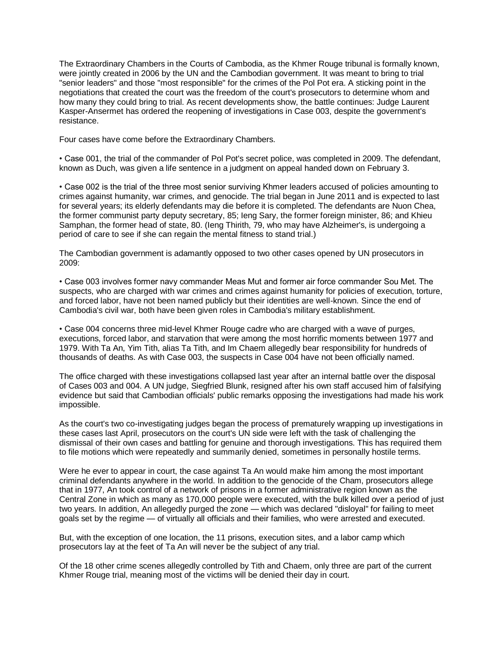The Extraordinary Chambers in the Courts of Cambodia, as the Khmer Rouge tribunal is formally known, were jointly created in 2006 by the UN and the Cambodian government. It was meant to bring to trial "senior leaders" and those "most responsible" for the crimes of the Pol Pot era. A sticking point in the negotiations that created the court was the freedom of the court's prosecutors to determine whom and how many they could bring to trial. As recent developments show, the battle continues: Judge Laurent Kasper-Ansermet has ordered the reopening of investigations in Case 003, despite the government's resistance.

Four cases have come before the Extraordinary Chambers.

• Case 001, the trial of the commander of Pol Pot's secret police, was completed in 2009. The defendant, known as Duch, was given a life sentence in a judgment on appeal handed down on February 3.

• Case 002 is the trial of the three most senior surviving Khmer leaders accused of policies amounting to crimes against humanity, war crimes, and genocide. The trial began in June 2011 and is expected to last for several years; its elderly defendants may die before it is completed. The defendants are Nuon Chea, the former communist party deputy secretary, 85; Ieng Sary, the former foreign minister, 86; and Khieu Samphan, the former head of state, 80. (Ieng Thirith, 79, who may have Alzheimer's, is undergoing a period of care to see if she can regain the mental fitness to stand trial.)

The Cambodian government is adamantly opposed to two other cases opened by UN prosecutors in 2009:

• Case 003 involves former navy commander Meas Mut and former air force commander Sou Met. The suspects, who are charged with war crimes and crimes against humanity for policies of execution, torture, and forced labor, have not been named publicly but their identities are well-known. Since the end of Cambodia's civil war, both have been given roles in Cambodia's military establishment.

• Case 004 concerns three mid-level Khmer Rouge cadre who are charged with a wave of purges, executions, forced labor, and starvation that were among the most horrific moments between 1977 and 1979. With Ta An, Yim Tith, alias Ta Tith, and Im Chaem allegedly bear responsibility for hundreds of thousands of deaths. As with Case 003, the suspects in Case 004 have not been officially named.

The office charged with these investigations collapsed last year after an internal battle over the disposal of Cases 003 and 004. A UN judge, Siegfried Blunk, resigned after his own staff accused him of falsifying evidence but said that Cambodian officials' public remarks opposing the investigations had made his work impossible.

As the court's two co-investigating judges began the process of prematurely wrapping up investigations in these cases last April, prosecutors on the court's UN side were left with the task of challenging the dismissal of their own cases and battling for genuine and thorough investigations. This has required them to file motions which were repeatedly and summarily denied, sometimes in personally hostile terms.

Were he ever to appear in court, the case against Ta An would make him among the most important criminal defendants anywhere in the world. In addition to the genocide of the Cham, prosecutors allege that in 1977, An took control of a network of prisons in a former administrative region known as the Central Zone in which as many as 170,000 people were executed, with the bulk killed over a period of just two years. In addition, An allegedly purged the zone — which was declared "disloyal" for failing to meet goals set by the regime — of virtually all officials and their families, who were arrested and executed.

But, with the exception of one location, the 11 prisons, execution sites, and a labor camp which prosecutors lay at the feet of Ta An will never be the subject of any trial.

Of the 18 other crime scenes allegedly controlled by Tith and Chaem, only three are part of the current Khmer Rouge trial, meaning most of the victims will be denied their day in court.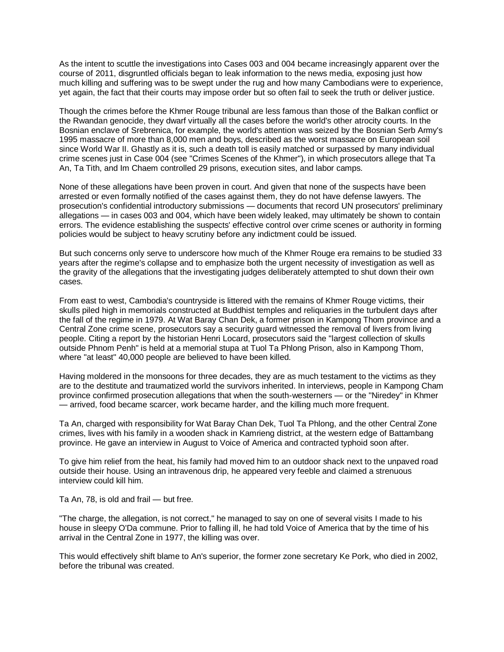As the intent to scuttle the investigations into Cases 003 and 004 became increasingly apparent over the course of 2011, disgruntled officials began to leak information to the news media, exposing just how much killing and suffering was to be swept under the rug and how many Cambodians were to experience, yet again, the fact that their courts may impose order but so often fail to seek the truth or deliver justice.

Though the crimes before the Khmer Rouge tribunal are less famous than those of the Balkan conflict or the Rwandan genocide, they dwarf virtually all the cases before the world's other atrocity courts. In the Bosnian enclave of Srebrenica, for example, the world's attention was seized by the Bosnian Serb Army's 1995 massacre of more than 8,000 men and boys, described as the worst massacre on European soil since World War II. Ghastly as it is, such a death toll is easily matched or surpassed by many individual crime scenes just in Case 004 (see "Crimes Scenes of the Khmer"), in which prosecutors allege that Ta An, Ta Tith, and Im Chaem controlled 29 prisons, execution sites, and labor camps.

None of these allegations have been proven in court. And given that none of the suspects have been arrested or even formally notified of the cases against them, they do not have defense lawyers. The prosecution's confidential introductory submissions — documents that record UN prosecutors' preliminary allegations — in cases 003 and 004, which have been widely leaked, may ultimately be shown to contain errors. The evidence establishing the suspects' effective control over crime scenes or authority in forming policies would be subject to heavy scrutiny before any indictment could be issued.

But such concerns only serve to underscore how much of the Khmer Rouge era remains to be studied 33 years after the regime's collapse and to emphasize both the urgent necessity of investigation as well as the gravity of the allegations that the investigating judges deliberately attempted to shut down their own cases.

From east to west, Cambodia's countryside is littered with the remains of Khmer Rouge victims, their skulls piled high in memorials constructed at Buddhist temples and reliquaries in the turbulent days after the fall of the regime in 1979. At Wat Baray Chan Dek, a former prison in Kampong Thom province and a Central Zone crime scene, prosecutors say a security guard witnessed the removal of livers from living people. Citing a report by the historian Henri Locard, prosecutors said the "largest collection of skulls outside Phnom Penh" is held at a memorial stupa at Tuol Ta Phlong Prison, also in Kampong Thom, where "at least" 40,000 people are believed to have been killed.

Having moldered in the monsoons for three decades, they are as much testament to the victims as they are to the destitute and traumatized world the survivors inherited. In interviews, people in Kampong Cham province confirmed prosecution allegations that when the south-westerners — or the "Niredey" in Khmer — arrived, food became scarcer, work became harder, and the killing much more frequent.

Ta An, charged with responsibility for Wat Baray Chan Dek, Tuol Ta Phlong, and the other Central Zone crimes, lives with his family in a wooden shack in Kamrieng district, at the western edge of Battambang province. He gave an interview in August to Voice of America and contracted typhoid soon after.

To give him relief from the heat, his family had moved him to an outdoor shack next to the unpaved road outside their house. Using an intravenous drip, he appeared very feeble and claimed a strenuous interview could kill him.

Ta An, 78, is old and frail — but free.

"The charge, the allegation, is not correct," he managed to say on one of several visits I made to his house in sleepy O'Da commune. Prior to falling ill, he had told Voice of America that by the time of his arrival in the Central Zone in 1977, the killing was over.

This would effectively shift blame to An's superior, the former zone secretary Ke Pork, who died in 2002, before the tribunal was created.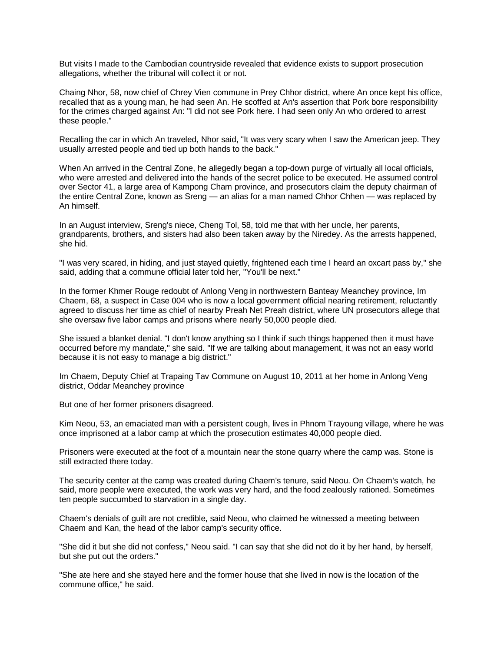But visits I made to the Cambodian countryside revealed that evidence exists to support prosecution allegations, whether the tribunal will collect it or not.

Chaing Nhor, 58, now chief of Chrey Vien commune in Prey Chhor district, where An once kept his office, recalled that as a young man, he had seen An. He scoffed at An's assertion that Pork bore responsibility for the crimes charged against An: "I did not see Pork here. I had seen only An who ordered to arrest these people."

Recalling the car in which An traveled, Nhor said, "It was very scary when I saw the American jeep. They usually arrested people and tied up both hands to the back."

When An arrived in the Central Zone, he allegedly began a top-down purge of virtually all local officials, who were arrested and delivered into the hands of the secret police to be executed. He assumed control over Sector 41, a large area of Kampong Cham province, and prosecutors claim the deputy chairman of the entire Central Zone, known as Sreng — an alias for a man named Chhor Chhen — was replaced by An himself.

In an August interview, Sreng's niece, Cheng Tol, 58, told me that with her uncle, her parents, grandparents, brothers, and sisters had also been taken away by the Niredey. As the arrests happened, she hid.

"I was very scared, in hiding, and just stayed quietly, frightened each time I heard an oxcart pass by," she said, adding that a commune official later told her, "You'll be next."

In the former Khmer Rouge redoubt of Anlong Veng in northwestern Banteay Meanchey province, Im Chaem, 68, a suspect in Case 004 who is now a local government official nearing retirement, reluctantly agreed to discuss her time as chief of nearby Preah Net Preah district, where UN prosecutors allege that she oversaw five labor camps and prisons where nearly 50,000 people died.

She issued a blanket denial. "I don't know anything so I think if such things happened then it must have occurred before my mandate," she said. "If we are talking about management, it was not an easy world because it is not easy to manage a big district."

Im Chaem, Deputy Chief at Trapaing Tav Commune on August 10, 2011 at her home in Anlong Veng district, Oddar Meanchey province

But one of her former prisoners disagreed.

Kim Neou, 53, an emaciated man with a persistent cough, lives in Phnom Trayoung village, where he was once imprisoned at a labor camp at which the prosecution estimates 40,000 people died.

Prisoners were executed at the foot of a mountain near the stone quarry where the camp was. Stone is still extracted there today.

The security center at the camp was created during Chaem's tenure, said Neou. On Chaem's watch, he said, more people were executed, the work was very hard, and the food zealously rationed. Sometimes ten people succumbed to starvation in a single day.

Chaem's denials of guilt are not credible, said Neou, who claimed he witnessed a meeting between Chaem and Kan, the head of the labor camp's security office.

"She did it but she did not confess," Neou said. "I can say that she did not do it by her hand, by herself, but she put out the orders."

"She ate here and she stayed here and the former house that she lived in now is the location of the commune office," he said.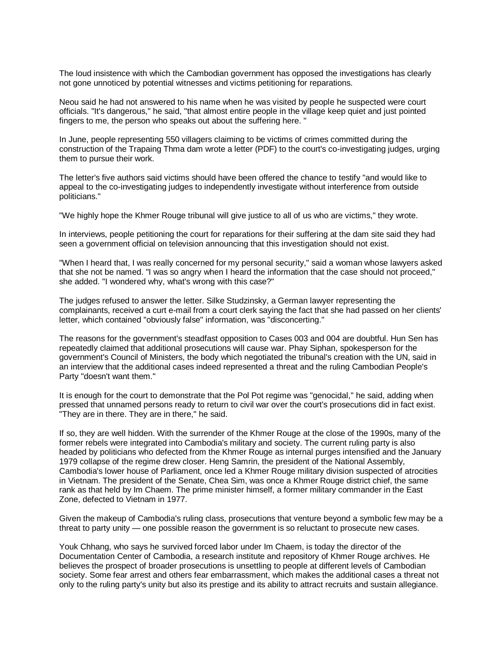The loud insistence with which the Cambodian government has opposed the investigations has clearly not gone unnoticed by potential witnesses and victims petitioning for reparations.

Neou said he had not answered to his name when he was visited by people he suspected were court officials. "It's dangerous," he said, "that almost entire people in the village keep quiet and just pointed fingers to me, the person who speaks out about the suffering here. "

In June, people representing 550 villagers claiming to be victims of crimes committed during the construction of the Trapaing Thma dam wrote a letter (PDF) to the court's co-investigating judges, urging them to pursue their work.

The letter's five authors said victims should have been offered the chance to testify "and would like to appeal to the co-investigating judges to independently investigate without interference from outside politicians."

"We highly hope the Khmer Rouge tribunal will give justice to all of us who are victims," they wrote.

In interviews, people petitioning the court for reparations for their suffering at the dam site said they had seen a government official on television announcing that this investigation should not exist.

"When I heard that, I was really concerned for my personal security," said a woman whose lawyers asked that she not be named. "I was so angry when I heard the information that the case should not proceed," she added. "I wondered why, what's wrong with this case?"

The judges refused to answer the letter. Silke Studzinsky, a German lawyer representing the complainants, received a curt e-mail from a court clerk saying the fact that she had passed on her clients' letter, which contained "obviously false" information, was "disconcerting."

The reasons for the government's steadfast opposition to Cases 003 and 004 are doubtful. Hun Sen has repeatedly claimed that additional prosecutions will cause war. Phay Siphan, spokesperson for the government's Council of Ministers, the body which negotiated the tribunal's creation with the UN, said in an interview that the additional cases indeed represented a threat and the ruling Cambodian People's Party "doesn't want them."

It is enough for the court to demonstrate that the Pol Pot regime was "genocidal," he said, adding when pressed that unnamed persons ready to return to civil war over the court's prosecutions did in fact exist. "They are in there. They are in there," he said.

If so, they are well hidden. With the surrender of the Khmer Rouge at the close of the 1990s, many of the former rebels were integrated into Cambodia's military and society. The current ruling party is also headed by politicians who defected from the Khmer Rouge as internal purges intensified and the January 1979 collapse of the regime drew closer. Heng Samrin, the president of the National Assembly, Cambodia's lower house of Parliament, once led a Khmer Rouge military division suspected of atrocities in Vietnam. The president of the Senate, Chea Sim, was once a Khmer Rouge district chief, the same rank as that held by Im Chaem. The prime minister himself, a former military commander in the East Zone, defected to Vietnam in 1977.

Given the makeup of Cambodia's ruling class, prosecutions that venture beyond a symbolic few may be a threat to party unity — one possible reason the government is so reluctant to prosecute new cases.

Youk Chhang, who says he survived forced labor under Im Chaem, is today the director of the Documentation Center of Cambodia, a research institute and repository of Khmer Rouge archives. He believes the prospect of broader prosecutions is unsettling to people at different levels of Cambodian society. Some fear arrest and others fear embarrassment, which makes the additional cases a threat not only to the ruling party's unity but also its prestige and its ability to attract recruits and sustain allegiance.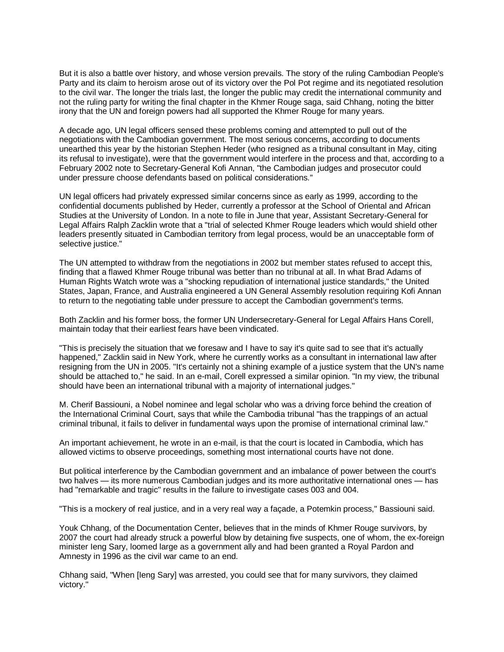But it is also a battle over history, and whose version prevails. The story of the ruling Cambodian People's Party and its claim to heroism arose out of its victory over the Pol Pot regime and its negotiated resolution to the civil war. The longer the trials last, the longer the public may credit the international community and not the ruling party for writing the final chapter in the Khmer Rouge saga, said Chhang, noting the bitter irony that the UN and foreign powers had all supported the Khmer Rouge for many years.

A decade ago, UN legal officers sensed these problems coming and attempted to pull out of the negotiations with the Cambodian government. The most serious concerns, according to documents unearthed this year by the historian Stephen Heder (who resigned as a tribunal consultant in May, citing its refusal to investigate), were that the government would interfere in the process and that, according to a February 2002 note to Secretary-General Kofi Annan, "the Cambodian judges and prosecutor could under pressure choose defendants based on political considerations."

UN legal officers had privately expressed similar concerns since as early as 1999, according to the confidential documents published by Heder, currently a professor at the School of Oriental and African Studies at the University of London. In a note to file in June that year, Assistant Secretary-General for Legal Affairs Ralph Zacklin wrote that a "trial of selected Khmer Rouge leaders which would shield other leaders presently situated in Cambodian territory from legal process, would be an unacceptable form of selective justice."

The UN attempted to withdraw from the negotiations in 2002 but member states refused to accept this, finding that a flawed Khmer Rouge tribunal was better than no tribunal at all. In what Brad Adams of Human Rights Watch wrote was a "shocking repudiation of international justice standards," the United States, Japan, France, and Australia engineered a UN General Assembly resolution requiring Kofi Annan to return to the negotiating table under pressure to accept the Cambodian government's terms.

Both Zacklin and his former boss, the former UN Undersecretary-General for Legal Affairs Hans Corell, maintain today that their earliest fears have been vindicated.

"This is precisely the situation that we foresaw and I have to say it's quite sad to see that it's actually happened," Zacklin said in New York, where he currently works as a consultant in international law after resigning from the UN in 2005. "It's certainly not a shining example of a justice system that the UN's name should be attached to," he said. In an e-mail, Corell expressed a similar opinion. "In my view, the tribunal should have been an international tribunal with a majority of international judges."

M. Cherif Bassiouni, a Nobel nominee and legal scholar who was a driving force behind the creation of the International Criminal Court, says that while the Cambodia tribunal "has the trappings of an actual criminal tribunal, it fails to deliver in fundamental ways upon the promise of international criminal law."

An important achievement, he wrote in an e-mail, is that the court is located in Cambodia, which has allowed victims to observe proceedings, something most international courts have not done.

But political interference by the Cambodian government and an imbalance of power between the court's two halves — its more numerous Cambodian judges and its more authoritative international ones — has had "remarkable and tragic" results in the failure to investigate cases 003 and 004.

"This is a mockery of real justice, and in a very real way a façade, a Potemkin process," Bassiouni said.

Youk Chhang, of the Documentation Center, believes that in the minds of Khmer Rouge survivors, by 2007 the court had already struck a powerful blow by detaining five suspects, one of whom, the ex-foreign minister Ieng Sary, loomed large as a government ally and had been granted a Royal Pardon and Amnesty in 1996 as the civil war came to an end.

Chhang said, "When [Ieng Sary] was arrested, you could see that for many survivors, they claimed victory."